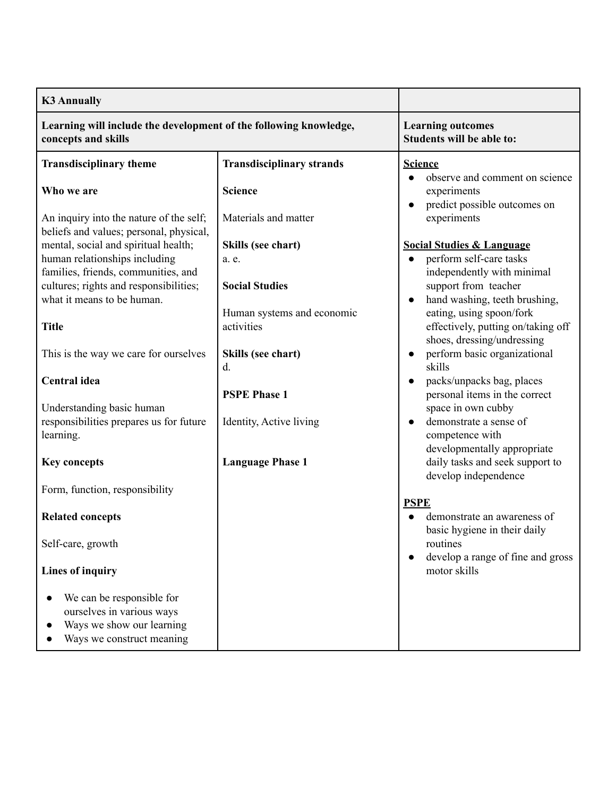| <b>K3 Annually</b>                                                                       |                                  |                                                          |
|------------------------------------------------------------------------------------------|----------------------------------|----------------------------------------------------------|
| Learning will include the development of the following knowledge,<br>concepts and skills |                                  | <b>Learning outcomes</b><br>Students will be able to:    |
| <b>Transdisciplinary theme</b>                                                           | <b>Transdisciplinary strands</b> | <b>Science</b><br>observe and comment on science         |
| Who we are                                                                               | <b>Science</b>                   | experiments<br>predict possible outcomes on<br>$\bullet$ |
| An inquiry into the nature of the self;<br>beliefs and values; personal, physical,       | Materials and matter             | experiments                                              |
| mental, social and spiritual health;                                                     | Skills (see chart)               | <b>Social Studies &amp; Language</b>                     |
| human relationships including                                                            | a. e.                            | perform self-care tasks<br>$\bullet$                     |
| families, friends, communities, and<br>cultures; rights and responsibilities;            | <b>Social Studies</b>            | independently with minimal<br>support from teacher       |
| what it means to be human.                                                               |                                  | hand washing, teeth brushing,<br>$\bullet$               |
|                                                                                          | Human systems and economic       | eating, using spoon/fork                                 |
| <b>Title</b>                                                                             | activities                       | effectively, putting on/taking off                       |
|                                                                                          |                                  | shoes, dressing/undressing                               |
| This is the way we care for ourselves                                                    | Skills (see chart)               | perform basic organizational<br>$\bullet$<br>skills      |
| <b>Central</b> idea                                                                      | $\mathbf{d}$ .                   | packs/unpacks bag, places<br>$\bullet$                   |
|                                                                                          | <b>PSPE Phase 1</b>              | personal items in the correct                            |
| Understanding basic human                                                                |                                  | space in own cubby                                       |
| responsibilities prepares us for future                                                  | Identity, Active living          | demonstrate a sense of<br>$\bullet$                      |
| learning.                                                                                |                                  | competence with                                          |
|                                                                                          |                                  | developmentally appropriate                              |
| <b>Key concepts</b>                                                                      | <b>Language Phase 1</b>          | daily tasks and seek support to<br>develop independence  |
| Form, function, responsibility                                                           |                                  |                                                          |
| <b>Related concepts</b>                                                                  |                                  | <b>PSPE</b><br>demonstrate an awareness of               |
| Self-care, growth                                                                        |                                  | basic hygiene in their daily<br>routines                 |
| <b>Lines of inquiry</b>                                                                  |                                  | develop a range of fine and gross<br>motor skills        |
| We can be responsible for                                                                |                                  |                                                          |
| ourselves in various ways                                                                |                                  |                                                          |
| Ways we show our learning                                                                |                                  |                                                          |
| Ways we construct meaning                                                                |                                  |                                                          |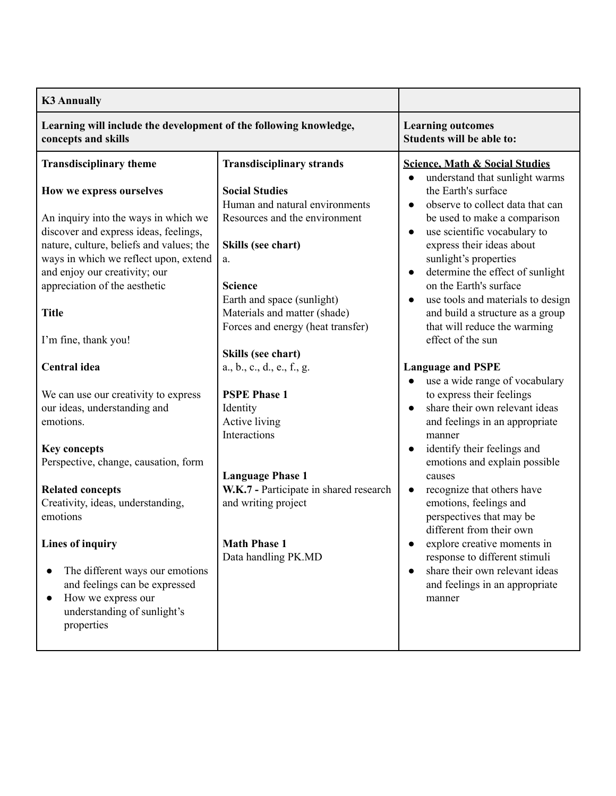| <b>K3 Annually</b>                                                                                                                                                                                                                                                                                       |                                                                                                                                                                                                                                                                 |                                                                                                                                                                                                                                                                                                                                                                                                                                                    |
|----------------------------------------------------------------------------------------------------------------------------------------------------------------------------------------------------------------------------------------------------------------------------------------------------------|-----------------------------------------------------------------------------------------------------------------------------------------------------------------------------------------------------------------------------------------------------------------|----------------------------------------------------------------------------------------------------------------------------------------------------------------------------------------------------------------------------------------------------------------------------------------------------------------------------------------------------------------------------------------------------------------------------------------------------|
| Learning will include the development of the following knowledge,<br>concepts and skills                                                                                                                                                                                                                 |                                                                                                                                                                                                                                                                 | <b>Learning outcomes</b><br>Students will be able to:                                                                                                                                                                                                                                                                                                                                                                                              |
| <b>Transdisciplinary theme</b>                                                                                                                                                                                                                                                                           | <b>Transdisciplinary strands</b>                                                                                                                                                                                                                                | <b>Science, Math &amp; Social Studies</b>                                                                                                                                                                                                                                                                                                                                                                                                          |
| How we express ourselves<br>An inquiry into the ways in which we<br>discover and express ideas, feelings,<br>nature, culture, beliefs and values; the<br>ways in which we reflect upon, extend<br>and enjoy our creativity; our<br>appreciation of the aesthetic<br><b>Title</b><br>I'm fine, thank you! | <b>Social Studies</b><br>Human and natural environments<br>Resources and the environment<br>Skills (see chart)<br>a.<br><b>Science</b><br>Earth and space (sunlight)<br>Materials and matter (shade)<br>Forces and energy (heat transfer)<br>Skills (see chart) | understand that sunlight warms<br>the Earth's surface<br>observe to collect data that can<br>$\bullet$<br>be used to make a comparison<br>use scientific vocabulary to<br>express their ideas about<br>sunlight's properties<br>determine the effect of sunlight<br>$\bullet$<br>on the Earth's surface<br>use tools and materials to design<br>$\bullet$<br>and build a structure as a group<br>that will reduce the warming<br>effect of the sun |
| <b>Central</b> idea                                                                                                                                                                                                                                                                                      | a., b., c., d., e., f., g.                                                                                                                                                                                                                                      | <b>Language and PSPE</b><br>use a wide range of vocabulary<br>$\bullet$                                                                                                                                                                                                                                                                                                                                                                            |
| We can use our creativity to express<br>our ideas, understanding and<br>emotions.<br><b>Key concepts</b><br>Perspective, change, causation, form<br><b>Related concepts</b><br>Creativity, ideas, understanding,<br>emotions<br><b>Lines of inquiry</b>                                                  | <b>PSPE Phase 1</b><br>Identity<br>Active living<br>Interactions<br><b>Language Phase 1</b><br>W.K.7 - Participate in shared research<br>and writing project<br><b>Math Phase 1</b>                                                                             | to express their feelings<br>share their own relevant ideas<br>$\bullet$<br>and feelings in an appropriate<br>manner<br>identify their feelings and<br>emotions and explain possible<br>causes<br>recognize that others have<br>$\bullet$<br>emotions, feelings and<br>perspectives that may be<br>different from their own<br>explore creative moments in                                                                                         |
| The different ways our emotions<br>and feelings can be expressed<br>How we express our<br>$\bullet$<br>understanding of sunlight's<br>properties                                                                                                                                                         | Data handling PK.MD                                                                                                                                                                                                                                             | response to different stimuli<br>share their own relevant ideas<br>$\bullet$<br>and feelings in an appropriate<br>manner                                                                                                                                                                                                                                                                                                                           |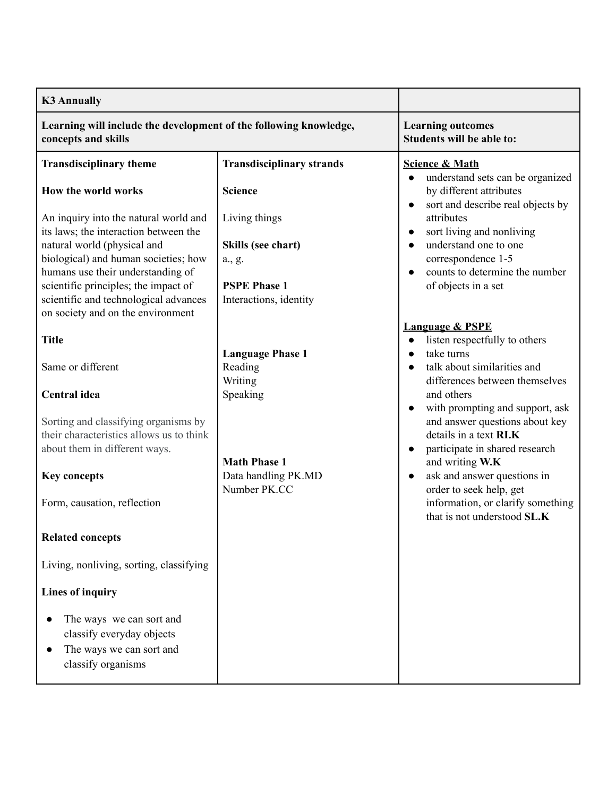| <b>K3 Annually</b>                                                                                                |                                  |                                                                                                                             |
|-------------------------------------------------------------------------------------------------------------------|----------------------------------|-----------------------------------------------------------------------------------------------------------------------------|
| Learning will include the development of the following knowledge,<br>concepts and skills                          |                                  | <b>Learning outcomes</b><br>Students will be able to:                                                                       |
| <b>Transdisciplinary theme</b>                                                                                    | <b>Transdisciplinary strands</b> | <b>Science &amp; Math</b>                                                                                                   |
| How the world works<br>An inquiry into the natural world and                                                      | <b>Science</b><br>Living things  | understand sets can be organized<br>by different attributes<br>sort and describe real objects by<br>$\bullet$<br>attributes |
| its laws; the interaction between the                                                                             |                                  | sort living and nonliving<br>$\bullet$                                                                                      |
| natural world (physical and                                                                                       | Skills (see chart)               | understand one to one<br>$\bullet$                                                                                          |
| biological) and human societies; how                                                                              | a., g.                           | correspondence 1-5                                                                                                          |
| humans use their understanding of<br>scientific principles; the impact of                                         | <b>PSPE Phase 1</b>              | counts to determine the number<br>of objects in a set                                                                       |
| scientific and technological advances                                                                             | Interactions, identity           |                                                                                                                             |
| on society and on the environment                                                                                 |                                  |                                                                                                                             |
|                                                                                                                   |                                  | <b>Language &amp; PSPE</b>                                                                                                  |
| <b>Title</b>                                                                                                      |                                  | listen respectfully to others                                                                                               |
|                                                                                                                   | <b>Language Phase 1</b>          | take turns<br>$\bullet$                                                                                                     |
| Same or different                                                                                                 | Reading<br>Writing               | talk about similarities and<br>$\bullet$<br>differences between themselves                                                  |
| Central idea                                                                                                      | Speaking                         | and others<br>with prompting and support, ask<br>$\bullet$                                                                  |
| Sorting and classifying organisms by<br>their characteristics allows us to think<br>about them in different ways. | <b>Math Phase 1</b>              | and answer questions about key<br>details in a text RI.K<br>participate in shared research<br>and writing W.K               |
| <b>Key concepts</b>                                                                                               | Data handling PK.MD              | ask and answer questions in<br>$\bullet$                                                                                    |
|                                                                                                                   | Number PK.CC                     | order to seek help, get                                                                                                     |
| Form, causation, reflection                                                                                       |                                  | information, or clarify something<br>that is not understood SL.K                                                            |
| <b>Related concepts</b>                                                                                           |                                  |                                                                                                                             |
| Living, nonliving, sorting, classifying                                                                           |                                  |                                                                                                                             |
| <b>Lines of inquiry</b>                                                                                           |                                  |                                                                                                                             |
| The ways we can sort and<br>classify everyday objects<br>The ways we can sort and<br>classify organisms           |                                  |                                                                                                                             |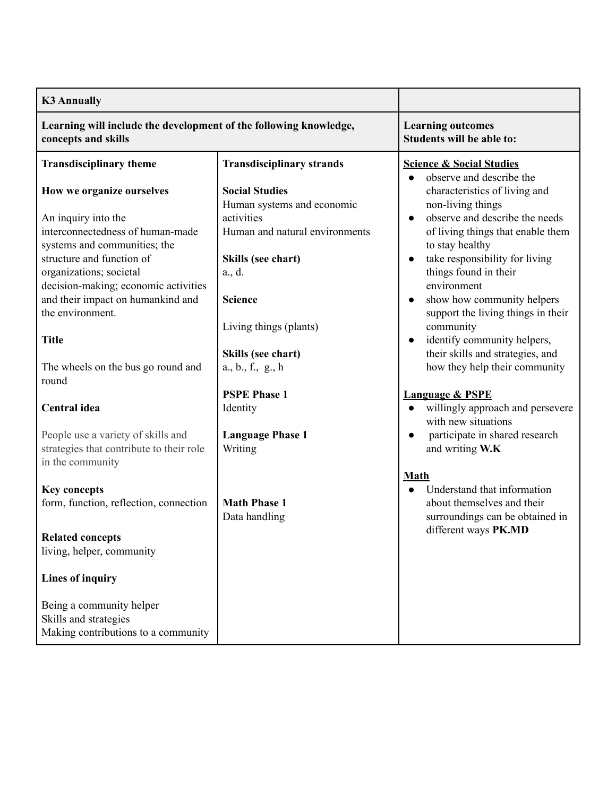| <b>K3 Annually</b>                                                                                                                                                                                                                                                                            |                                                                                                                                                                                                       |                                                                                                                                                                                                                                                                                                                                                                                                                                               |
|-----------------------------------------------------------------------------------------------------------------------------------------------------------------------------------------------------------------------------------------------------------------------------------------------|-------------------------------------------------------------------------------------------------------------------------------------------------------------------------------------------------------|-----------------------------------------------------------------------------------------------------------------------------------------------------------------------------------------------------------------------------------------------------------------------------------------------------------------------------------------------------------------------------------------------------------------------------------------------|
| Learning will include the development of the following knowledge,<br>concepts and skills                                                                                                                                                                                                      |                                                                                                                                                                                                       | <b>Learning outcomes</b><br><b>Students will be able to:</b>                                                                                                                                                                                                                                                                                                                                                                                  |
| <b>Transdisciplinary theme</b>                                                                                                                                                                                                                                                                | <b>Transdisciplinary strands</b>                                                                                                                                                                      | <b>Science &amp; Social Studies</b>                                                                                                                                                                                                                                                                                                                                                                                                           |
| How we organize ourselves<br>An inquiry into the<br>interconnectedness of human-made<br>systems and communities; the<br>structure and function of<br>organizations; societal<br>decision-making; economic activities<br>and their impact on humankind and<br>the environment.<br><b>Title</b> | <b>Social Studies</b><br>Human systems and economic<br>activities<br>Human and natural environments<br>Skills (see chart)<br>a., d.<br><b>Science</b><br>Living things (plants)<br>Skills (see chart) | observe and describe the<br>characteristics of living and<br>non-living things<br>observe and describe the needs<br>$\bullet$<br>of living things that enable them<br>to stay healthy<br>take responsibility for living<br>$\bullet$<br>things found in their<br>environment<br>show how community helpers<br>$\bullet$<br>support the living things in their<br>community<br>identify community helpers,<br>their skills and strategies, and |
| The wheels on the bus go round and<br>round                                                                                                                                                                                                                                                   | $a_1, b_1, f_2, g_2, h$                                                                                                                                                                               | how they help their community                                                                                                                                                                                                                                                                                                                                                                                                                 |
| Central idea                                                                                                                                                                                                                                                                                  | <b>PSPE Phase 1</b><br>Identity                                                                                                                                                                       | <b>Language &amp; PSPE</b><br>willingly approach and persevere<br>$\bullet$<br>with new situations                                                                                                                                                                                                                                                                                                                                            |
| People use a variety of skills and<br>strategies that contribute to their role<br>in the community<br><b>Key concepts</b>                                                                                                                                                                     | <b>Language Phase 1</b><br>Writing                                                                                                                                                                    | participate in shared research<br>and writing W.K<br><b>Math</b><br>Understand that information                                                                                                                                                                                                                                                                                                                                               |
| form, function, reflection, connection                                                                                                                                                                                                                                                        | <b>Math Phase 1</b><br>Data handling                                                                                                                                                                  | about themselves and their<br>surroundings can be obtained in                                                                                                                                                                                                                                                                                                                                                                                 |
| <b>Related concepts</b><br>living, helper, community                                                                                                                                                                                                                                          |                                                                                                                                                                                                       | different ways PK.MD                                                                                                                                                                                                                                                                                                                                                                                                                          |
| <b>Lines of inquiry</b>                                                                                                                                                                                                                                                                       |                                                                                                                                                                                                       |                                                                                                                                                                                                                                                                                                                                                                                                                                               |
| Being a community helper<br>Skills and strategies<br>Making contributions to a community                                                                                                                                                                                                      |                                                                                                                                                                                                       |                                                                                                                                                                                                                                                                                                                                                                                                                                               |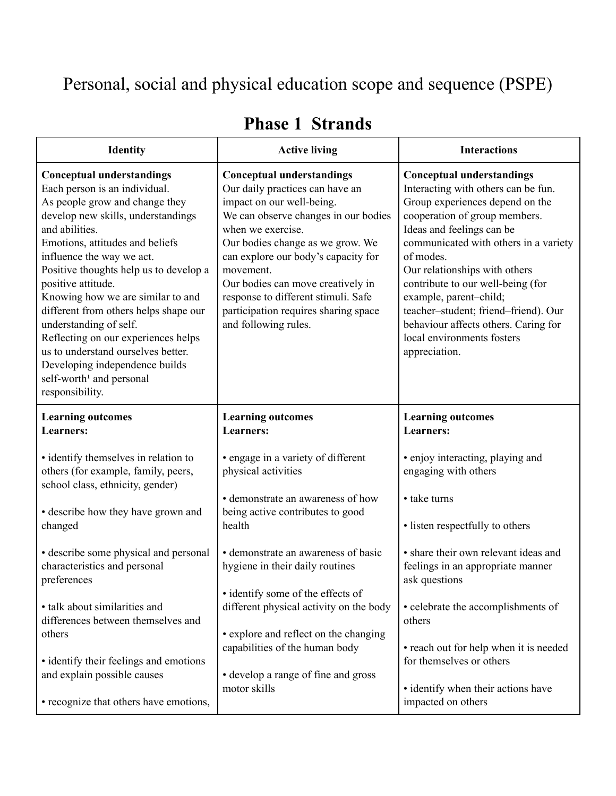## Personal, social and physical education scope and sequence (PSPE)

| <b>Identity</b>                                                                                                                                                                                                                                                                                                                                                                                                                                                                                                                                                               | <b>Active living</b>                                                                                                                                                                                                                                                                                                                                                                              | <b>Interactions</b>                                                                                                                                                                                                                                                                                                                                                                                                                                           |
|-------------------------------------------------------------------------------------------------------------------------------------------------------------------------------------------------------------------------------------------------------------------------------------------------------------------------------------------------------------------------------------------------------------------------------------------------------------------------------------------------------------------------------------------------------------------------------|---------------------------------------------------------------------------------------------------------------------------------------------------------------------------------------------------------------------------------------------------------------------------------------------------------------------------------------------------------------------------------------------------|---------------------------------------------------------------------------------------------------------------------------------------------------------------------------------------------------------------------------------------------------------------------------------------------------------------------------------------------------------------------------------------------------------------------------------------------------------------|
| <b>Conceptual understandings</b><br>Each person is an individual.<br>As people grow and change they<br>develop new skills, understandings<br>and abilities.<br>Emotions, attitudes and beliefs<br>influence the way we act.<br>Positive thoughts help us to develop a<br>positive attitude.<br>Knowing how we are similar to and<br>different from others helps shape our<br>understanding of self.<br>Reflecting on our experiences helps<br>us to understand ourselves better.<br>Developing independence builds<br>self-worth <sup>1</sup> and personal<br>responsibility. | <b>Conceptual understandings</b><br>Our daily practices can have an<br>impact on our well-being.<br>We can observe changes in our bodies<br>when we exercise.<br>Our bodies change as we grow. We<br>can explore our body's capacity for<br>movement.<br>Our bodies can move creatively in<br>response to different stimuli. Safe<br>participation requires sharing space<br>and following rules. | <b>Conceptual understandings</b><br>Interacting with others can be fun.<br>Group experiences depend on the<br>cooperation of group members.<br>Ideas and feelings can be<br>communicated with others in a variety<br>of modes.<br>Our relationships with others<br>contribute to our well-being (for<br>example, parent-child;<br>teacher-student; friend-friend). Our<br>behaviour affects others. Caring for<br>local environments fosters<br>appreciation. |
| <b>Learning outcomes</b><br><b>Learners:</b>                                                                                                                                                                                                                                                                                                                                                                                                                                                                                                                                  | <b>Learning outcomes</b><br><b>Learners:</b>                                                                                                                                                                                                                                                                                                                                                      | <b>Learning outcomes</b><br><b>Learners:</b>                                                                                                                                                                                                                                                                                                                                                                                                                  |
| • identify themselves in relation to<br>others (for example, family, peers,<br>school class, ethnicity, gender)<br>• describe how they have grown and<br>changed                                                                                                                                                                                                                                                                                                                                                                                                              | • engage in a variety of different<br>physical activities<br>• demonstrate an awareness of how<br>being active contributes to good<br>health                                                                                                                                                                                                                                                      | • enjoy interacting, playing and<br>engaging with others<br>• take turns<br>· listen respectfully to others                                                                                                                                                                                                                                                                                                                                                   |
| • describe some physical and personal<br>characteristics and personal<br>preferences                                                                                                                                                                                                                                                                                                                                                                                                                                                                                          | • demonstrate an awareness of basic<br>hygiene in their daily routines<br>• identify some of the effects of                                                                                                                                                                                                                                                                                       | • share their own relevant ideas and<br>feelings in an appropriate manner<br>ask questions                                                                                                                                                                                                                                                                                                                                                                    |
| • talk about similarities and<br>differences between themselves and<br>others<br>• identify their feelings and emotions<br>and explain possible causes                                                                                                                                                                                                                                                                                                                                                                                                                        | different physical activity on the body<br>• explore and reflect on the changing<br>capabilities of the human body<br>• develop a range of fine and gross<br>motor skills                                                                                                                                                                                                                         | • celebrate the accomplishments of<br>others<br>• reach out for help when it is needed<br>for themselves or others<br>· identify when their actions have                                                                                                                                                                                                                                                                                                      |
| • recognize that others have emotions,                                                                                                                                                                                                                                                                                                                                                                                                                                                                                                                                        |                                                                                                                                                                                                                                                                                                                                                                                                   | impacted on others                                                                                                                                                                                                                                                                                                                                                                                                                                            |

## **Phase 1 Strands**